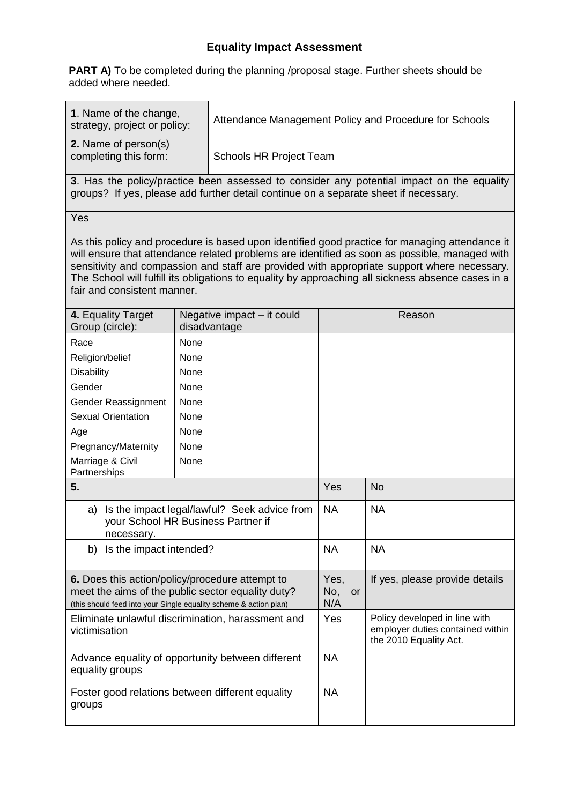## **Equality Impact Assessment**

**PART A)** To be completed during the planning /proposal stage. Further sheets should be added where needed.

| 1. Name of the change,<br>strategy, project or policy:                                                                                                                                                                                                                                                                                                                                                                              |      | Attendance Management Policy and Procedure for Schools |                                 |                                                                                             |  |  |  |  |
|-------------------------------------------------------------------------------------------------------------------------------------------------------------------------------------------------------------------------------------------------------------------------------------------------------------------------------------------------------------------------------------------------------------------------------------|------|--------------------------------------------------------|---------------------------------|---------------------------------------------------------------------------------------------|--|--|--|--|
| 2. Name of person(s)<br>completing this form:                                                                                                                                                                                                                                                                                                                                                                                       |      | Schools HR Project Team                                |                                 |                                                                                             |  |  |  |  |
| 3. Has the policy/practice been assessed to consider any potential impact on the equality<br>groups? If yes, please add further detail continue on a separate sheet if necessary.                                                                                                                                                                                                                                                   |      |                                                        |                                 |                                                                                             |  |  |  |  |
| Yes                                                                                                                                                                                                                                                                                                                                                                                                                                 |      |                                                        |                                 |                                                                                             |  |  |  |  |
| As this policy and procedure is based upon identified good practice for managing attendance it<br>will ensure that attendance related problems are identified as soon as possible, managed with<br>sensitivity and compassion and staff are provided with appropriate support where necessary.<br>The School will fulfill its obligations to equality by approaching all sickness absence cases in a<br>fair and consistent manner. |      |                                                        |                                 |                                                                                             |  |  |  |  |
| 4. Equality Target<br>Group (circle):                                                                                                                                                                                                                                                                                                                                                                                               |      | Negative impact - it could<br>disadvantage             | Reason                          |                                                                                             |  |  |  |  |
| Race                                                                                                                                                                                                                                                                                                                                                                                                                                | None |                                                        |                                 |                                                                                             |  |  |  |  |
| Religion/belief                                                                                                                                                                                                                                                                                                                                                                                                                     | None |                                                        |                                 |                                                                                             |  |  |  |  |
| <b>Disability</b>                                                                                                                                                                                                                                                                                                                                                                                                                   | None |                                                        |                                 |                                                                                             |  |  |  |  |
| Gender                                                                                                                                                                                                                                                                                                                                                                                                                              | None |                                                        |                                 |                                                                                             |  |  |  |  |
| Gender Reassignment                                                                                                                                                                                                                                                                                                                                                                                                                 | None |                                                        |                                 |                                                                                             |  |  |  |  |
| <b>Sexual Orientation</b>                                                                                                                                                                                                                                                                                                                                                                                                           | None |                                                        |                                 |                                                                                             |  |  |  |  |
| Age                                                                                                                                                                                                                                                                                                                                                                                                                                 | None |                                                        |                                 |                                                                                             |  |  |  |  |
| Pregnancy/Maternity                                                                                                                                                                                                                                                                                                                                                                                                                 | None |                                                        |                                 |                                                                                             |  |  |  |  |
| Marriage & Civil<br>Partnerships                                                                                                                                                                                                                                                                                                                                                                                                    | None |                                                        |                                 |                                                                                             |  |  |  |  |
| 5.                                                                                                                                                                                                                                                                                                                                                                                                                                  |      |                                                        | Yes                             | <b>No</b>                                                                                   |  |  |  |  |
| a) Is the impact legal/lawful? Seek advice from<br>your School HR Business Partner if<br>necessary.                                                                                                                                                                                                                                                                                                                                 |      |                                                        | <b>NA</b>                       | <b>NA</b>                                                                                   |  |  |  |  |
| Is the impact intended?<br>b)                                                                                                                                                                                                                                                                                                                                                                                                       |      |                                                        | <b>NA</b>                       | <b>NA</b>                                                                                   |  |  |  |  |
| 6. Does this action/policy/procedure attempt to<br>meet the aims of the public sector equality duty?<br>(this should feed into your Single equality scheme & action plan)                                                                                                                                                                                                                                                           |      |                                                        | Yes,<br>No,<br><b>or</b><br>N/A | If yes, please provide details                                                              |  |  |  |  |
| Eliminate unlawful discrimination, harassment and<br>victimisation                                                                                                                                                                                                                                                                                                                                                                  |      |                                                        | <b>Yes</b>                      | Policy developed in line with<br>employer duties contained within<br>the 2010 Equality Act. |  |  |  |  |
| Advance equality of opportunity between different<br>equality groups                                                                                                                                                                                                                                                                                                                                                                |      |                                                        | <b>NA</b>                       |                                                                                             |  |  |  |  |
| Foster good relations between different equality<br>groups                                                                                                                                                                                                                                                                                                                                                                          |      |                                                        | <b>NA</b>                       |                                                                                             |  |  |  |  |